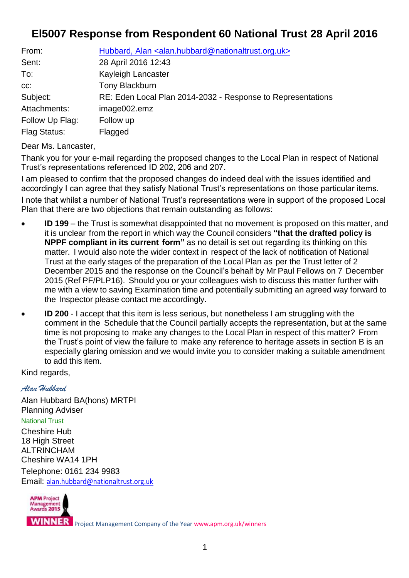## **El5007 Response from Respondent 60 National Trust 28 April 2016**

| From:               | Hubbard, Alan <alan.hubbard@nationaltrust.org.uk></alan.hubbard@nationaltrust.org.uk> |
|---------------------|---------------------------------------------------------------------------------------|
| Sent:               | 28 April 2016 12:43                                                                   |
| To:                 | Kayleigh Lancaster                                                                    |
| $CC$ :              | <b>Tony Blackburn</b>                                                                 |
| Subject:            | RE: Eden Local Plan 2014-2032 - Response to Representations                           |
| Attachments:        | image002.emz                                                                          |
| Follow Up Flag:     | Follow up                                                                             |
| <b>Flag Status:</b> | Flagged                                                                               |

Dear Ms. Lancaster,

Thank you for your e‐mail regarding the proposed changes to the Local Plan in respect of National Trust's representations referenced ID 202, 206 and 207.

I am pleased to confirm that the proposed changes do indeed deal with the issues identified and accordingly I can agree that they satisfy National Trust's representations on those particular items. I note that whilst a number of National Trust's representations were in support of the proposed Local Plan that there are two objections that remain outstanding as follows:

- **ID 199** the Trust is somewhat disappointed that no movement is proposed on this matter, and it is unclear from the report in which way the Council considers **"that the drafted policy is NPPF compliant in its current form"** as no detail is set out regarding its thinking on this matter. I would also note the wider context in respect of the lack of notification of National Trust at the early stages of the preparation of the Local Plan as per the Trust letter of 2 December 2015 and the response on the Council's behalf by Mr Paul Fellows on 7 December 2015 (Ref PF/PLP16). Should you or your colleagues wish to discuss this matter further with me with a view to saving Examination time and potentially submitting an agreed way forward to the Inspector please contact me accordingly.
- **ID** 200 I accept that this item is less serious, but nonetheless I am struggling with the comment in the Schedule that the Council partially accepts the representation, but at the same time is not proposing to make any changes to the Local Plan in respect of this matter? From the Trust's point of view the failure to make any reference to heritage assets in section B is an especially glaring omission and we would invite you to consider making a suitable amendment to add this item.

Kind regards,

*Alan Hubbard*

Alan Hubbard BA(hons) MRTPI Planning Adviser National Trust Cheshire Hub 18 High Street ALTRINCHAM Cheshire WA14 1PH Telephone: 0161 234 9983 Email: [alan.hubbard@nationaltrust.org.uk](mailto:alan.hubbard@nationaltrust.org.uk)